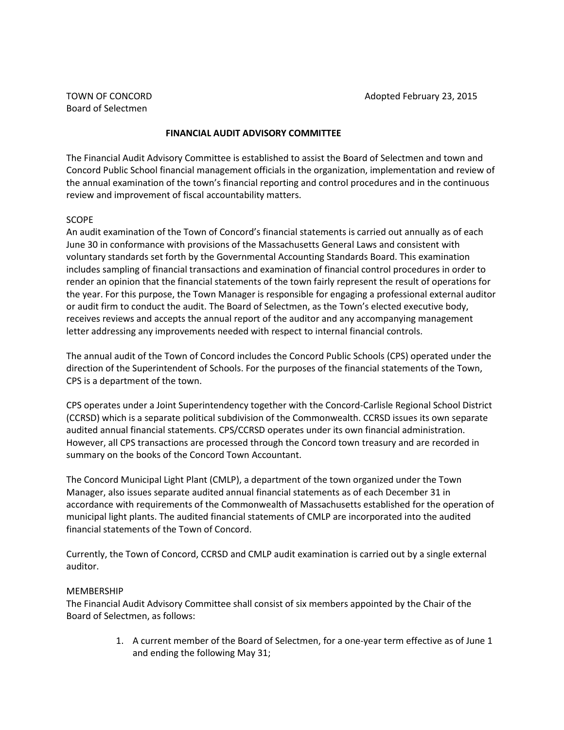# **FINANCIAL AUDIT ADVISORY COMMITTEE**

The Financial Audit Advisory Committee is established to assist the Board of Selectmen and town and Concord Public School financial management officials in the organization, implementation and review of the annual examination of the town's financial reporting and control procedures and in the continuous review and improvement of fiscal accountability matters.

### SCOPE

An audit examination of the Town of Concord's financial statements is carried out annually as of each June 30 in conformance with provisions of the Massachusetts General Laws and consistent with voluntary standards set forth by the Governmental Accounting Standards Board. This examination includes sampling of financial transactions and examination of financial control procedures in order to render an opinion that the financial statements of the town fairly represent the result of operations for the year. For this purpose, the Town Manager is responsible for engaging a professional external auditor or audit firm to conduct the audit. The Board of Selectmen, as the Town's elected executive body, receives reviews and accepts the annual report of the auditor and any accompanying management letter addressing any improvements needed with respect to internal financial controls.

The annual audit of the Town of Concord includes the Concord Public Schools (CPS) operated under the direction of the Superintendent of Schools. For the purposes of the financial statements of the Town, CPS is a department of the town.

CPS operates under a Joint Superintendency together with the Concord-Carlisle Regional School District (CCRSD) which is a separate political subdivision of the Commonwealth. CCRSD issues its own separate audited annual financial statements. CPS/CCRSD operates under its own financial administration. However, all CPS transactions are processed through the Concord town treasury and are recorded in summary on the books of the Concord Town Accountant.

The Concord Municipal Light Plant (CMLP), a department of the town organized under the Town Manager, also issues separate audited annual financial statements as of each December 31 in accordance with requirements of the Commonwealth of Massachusetts established for the operation of municipal light plants. The audited financial statements of CMLP are incorporated into the audited financial statements of the Town of Concord.

Currently, the Town of Concord, CCRSD and CMLP audit examination is carried out by a single external auditor.

### MEMBERSHIP

The Financial Audit Advisory Committee shall consist of six members appointed by the Chair of the Board of Selectmen, as follows:

> 1. A current member of the Board of Selectmen, for a one-year term effective as of June 1 and ending the following May 31;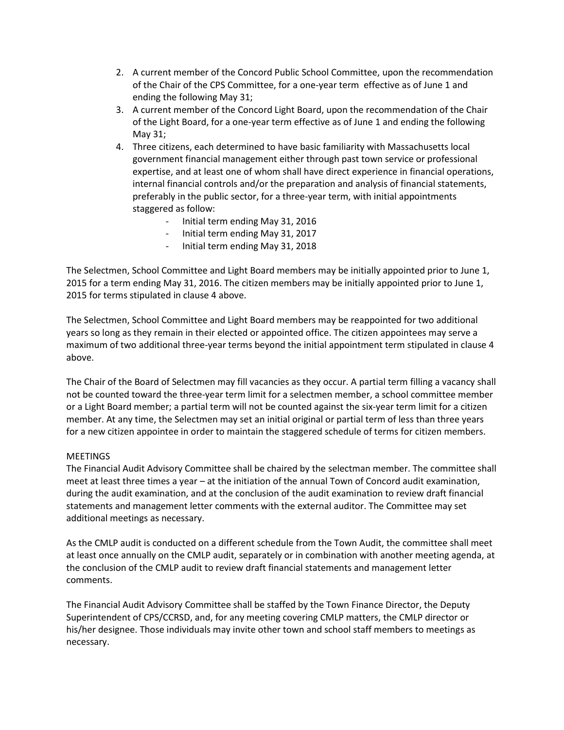- 2. A current member of the Concord Public School Committee, upon the recommendation of the Chair of the CPS Committee, for a one-year term effective as of June 1 and ending the following May 31;
- 3. A current member of the Concord Light Board, upon the recommendation of the Chair of the Light Board, for a one-year term effective as of June 1 and ending the following May 31;
- 4. Three citizens, each determined to have basic familiarity with Massachusetts local government financial management either through past town service or professional expertise, and at least one of whom shall have direct experience in financial operations, internal financial controls and/or the preparation and analysis of financial statements, preferably in the public sector, for a three-year term, with initial appointments staggered as follow:
	- Initial term ending May 31, 2016
	- Initial term ending May 31, 2017
	- Initial term ending May 31, 2018

The Selectmen, School Committee and Light Board members may be initially appointed prior to June 1, 2015 for a term ending May 31, 2016. The citizen members may be initially appointed prior to June 1, 2015 for terms stipulated in clause 4 above.

The Selectmen, School Committee and Light Board members may be reappointed for two additional years so long as they remain in their elected or appointed office. The citizen appointees may serve a maximum of two additional three-year terms beyond the initial appointment term stipulated in clause 4 above.

The Chair of the Board of Selectmen may fill vacancies as they occur. A partial term filling a vacancy shall not be counted toward the three-year term limit for a selectmen member, a school committee member or a Light Board member; a partial term will not be counted against the six-year term limit for a citizen member. At any time, the Selectmen may set an initial original or partial term of less than three years for a new citizen appointee in order to maintain the staggered schedule of terms for citizen members.

### MEETINGS

The Financial Audit Advisory Committee shall be chaired by the selectman member. The committee shall meet at least three times a year – at the initiation of the annual Town of Concord audit examination, during the audit examination, and at the conclusion of the audit examination to review draft financial statements and management letter comments with the external auditor. The Committee may set additional meetings as necessary.

As the CMLP audit is conducted on a different schedule from the Town Audit, the committee shall meet at least once annually on the CMLP audit, separately or in combination with another meeting agenda, at the conclusion of the CMLP audit to review draft financial statements and management letter comments.

The Financial Audit Advisory Committee shall be staffed by the Town Finance Director, the Deputy Superintendent of CPS/CCRSD, and, for any meeting covering CMLP matters, the CMLP director or his/her designee. Those individuals may invite other town and school staff members to meetings as necessary.